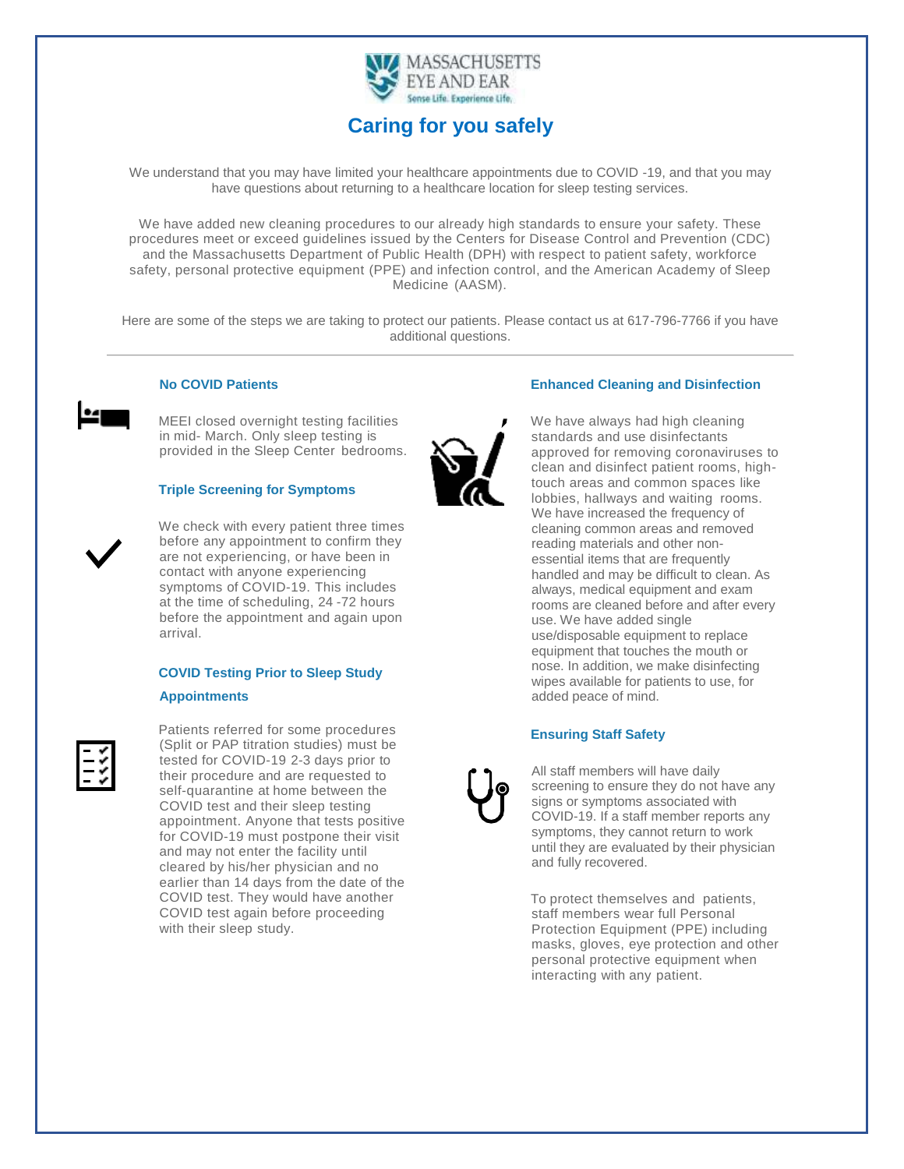

# **Caring for you safely**

We understand that you may have limited your healthcare appointments due to COVID -19, and that you may have questions about returning to a healthcare location for sleep testing services.

We have added new cleaning procedures to our already high standards to ensure your safety. These procedures meet or exceed guidelines issued by the Centers for Disease Control and Prevention (CDC) and the Massachusetts Department of Public Health (DPH) with respect to patient safety, workforce safety, personal protective equipment (PPE) and infection control, and the American Academy of Sleep Medicine (AASM).

Here are some of the steps we are taking to protect our patients. Please contact us at 617-796-7766 if you have additional questions.



#### **No COVID Patients**

 MEEI closed overnight testing facilities in mid- March. Only sleep testing is provided in the Sleep Center bedrooms.

#### **Triple Screening for Symptoms**

We check with every patient three times before any appointment to confirm they are not experiencing, or have been in contact with anyone experiencing symptoms of COVID-19. This includes at the time of scheduling, 24 -72 hours before the appointment and again upon arrival.

## **COVID Testing Prior to Sleep Study Appointments**



Patients referred for some procedures (Split or PAP titration studies) must be tested for COVID-19 2-3 days prior to their procedure and are requested to self-quarantine at home between the COVID test and their sleep testing appointment. Anyone that tests positive for COVID-19 must postpone their visit and may not enter the facility until cleared by his/her physician and no earlier than 14 days from the date of the COVID test. They would have another COVID test again before proceeding with their sleep study.

#### **Enhanced Cleaning and Disinfection**



We have always had high cleaning standards and use disinfectants approved for removing coronaviruses to clean and disinfect patient rooms, hightouch areas and common spaces like lobbies, hallways and waiting rooms. We have increased the frequency of cleaning common areas and removed reading materials and other nonessential items that are frequently handled and may be difficult to clean. As always, medical equipment and exam rooms are cleaned before and after every use. We have added single use/disposable equipment to replace equipment that touches the mouth or nose. In addition, we make disinfecting wipes available for patients to use, for added peace of mind.

#### **Ensuring Staff Safety**

All staff members will have daily screening to ensure they do not have any signs or symptoms associated with COVID-19. If a staff member reports any symptoms, they cannot return to work until they are evaluated by their physician and fully recovered.

To protect themselves and patients, staff members wear full Personal Protection Equipment (PPE) including masks, gloves, eye protection and other personal protective equipment when interacting with any patient.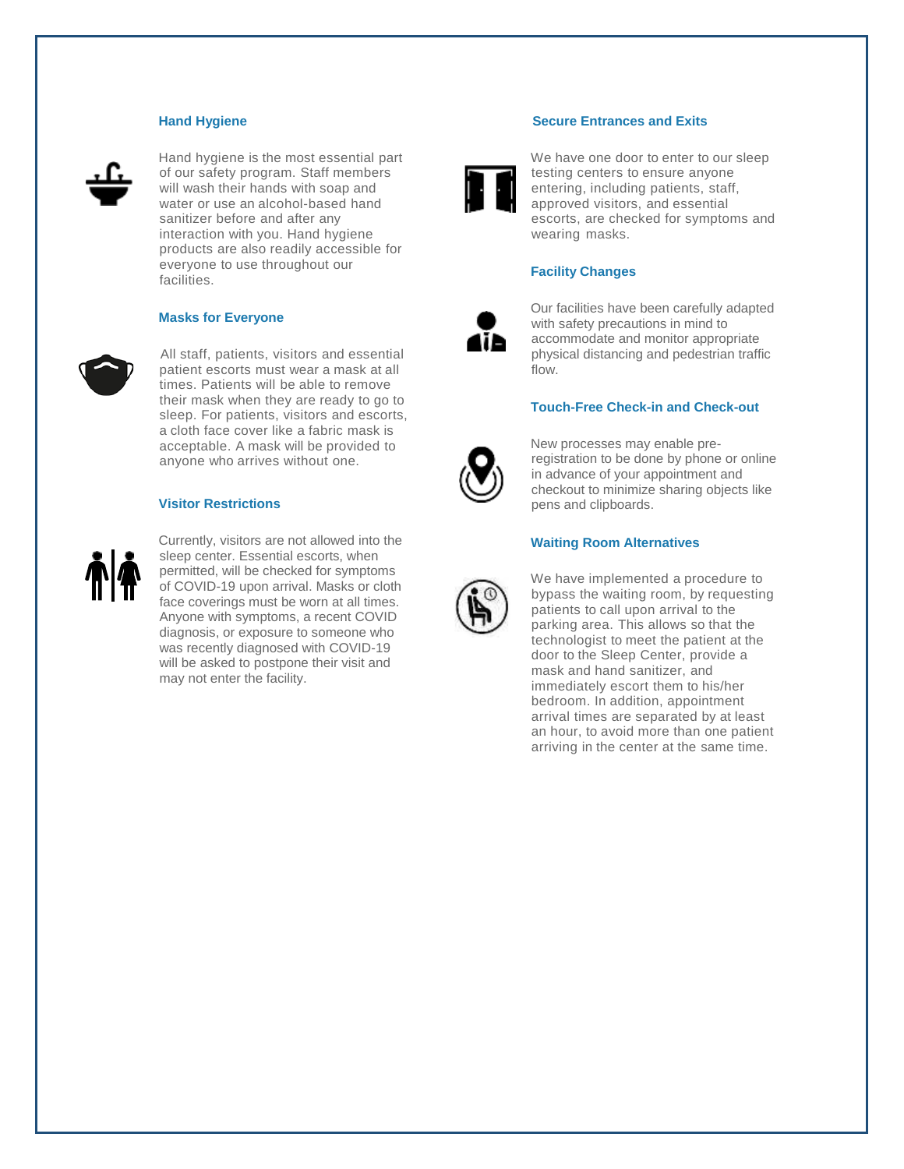#### **Hand Hygiene**



Hand hygiene is the most essential part of our safety program. Staff members will wash their hands with soap and water or use an alcohol-based hand sanitizer before and after any interaction with you. Hand hygiene products are also readily accessible for everyone to use throughout our facilities.

#### **Masks for Everyone**



All staff, patients, visitors and essential patient escorts must wear a mask at all times. Patients will be able to remove their mask when they are ready to go to sleep. For patients, visitors and escorts, a cloth face cover like a fabric mask is acceptable. A mask will be provided to anyone who arrives without one.

#### **Visitor Restrictions**



Currently, visitors are not allowed into the sleep center. Essential escorts, when permitted, will be checked for symptoms of COVID-19 upon arrival. Masks or cloth face coverings must be worn at all times. Anyone with symptoms, a recent COVID diagnosis, or exposure to someone who was recently diagnosed with COVID-19 will be asked to postpone their visit and may not enter the facility.

#### **Secure Entrances and Exits**



We have one door to enter to our sleep testing centers to ensure anyone entering, including patients, staff, approved visitors, and essential escorts, are checked for symptoms and wearing masks.

#### **Facility Changes**



Our facilities have been carefully adapted with safety precautions in mind to accommodate and monitor appropriate physical distancing and pedestrian traffic flow.

#### **Touch-Free Check-in and Check-out**



New processes may enable preregistration to be done by phone or online in advance of your appointment and checkout to minimize sharing objects like pens and clipboards.

#### **Waiting Room Alternatives**



We have implemented a procedure to bypass the waiting room, by requesting patients to call upon arrival to the parking area. This allows so that the technologist to meet the patient at the door to the Sleep Center, provide a mask and hand sanitizer, and immediately escort them to his/her bedroom. In addition, appointment arrival times are separated by at least an hour, to avoid more than one patient arriving in the center at the same time.